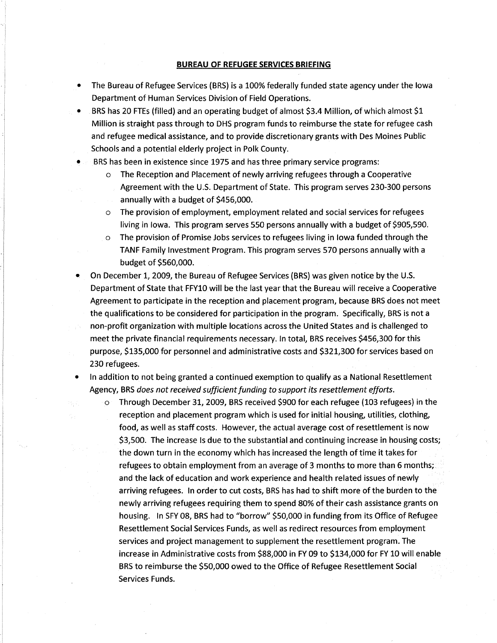## **BUREAU OF REFUGEE SERVICES BRIEFING**

- The Bureau of Refugee Services (BRS) is a IO0% federally funded state agency under the lowa Department of Human Services Division of Field Operations.
- BRS has 20 FTEs (filled) and an operating budget of almost \$3.4 Million, of which almost \$1 Million is straight pass through to DHS program funds to reimburse the state for refugee cash and refugee medical assistance, and to provide discretionary grants with Des Moines Public Schools and a potential elderly project in Polk County.
- BRS has been in existence since 1975 and has three primary service programs:
	- o The Reception and Placement of newly arriving refugees through a Cooperative Agreement with the U.S. Department of State. This program serves 230-300 persons annually with a budget of 5456,000.
	- o The provision of employment, employment related and social services for refugees living in lowa. This program serves 550 persons annually with a budget of 5905,590.
	- o The provision of Promise Jobs services to refugees living in lowa funded through the TANF Family Investment Program. This program serues 570 persons annually with a budget of \$560,000.
- On December 1, 2009, the Bureau of Refugee Services (BRS) was given notice by the U.S. Department of State that FFY10 will be the last year that the Bureau will receive a Cooperative Agreement to participate in the reception and placement program, because BRS does not meet the qualifications to be considered for participation in the program. Specifically, BRS is not a non-profit organization wíth multiple locations across the United States and is challenged to meet the private financial requirements necessary. ln total, BRS receives 5456,300 for this purpose, S135,000 for personnel and administrative costs and S32L,300 for services based on 230 refugees.
- In addition to not being granted a continued exemption to qualify as a National Resettlement  $\bullet$ Agency, BRS does not received sufficient funding to support its resettlement efforts.
	- o Through December 3t,2009, BRS received 5900 for each refugee (103 refugees) in the reception and placement program which is used for initial housing, utilities, clothing, food, as well as staff costs. However, the actual average cost of resettlement is now 53,500. The increase ls due to the substantial and continuing increase in housing costs; the down turn in the economy which has increased the length of time it takes for refugees to obtain employment from an average of 3 months to more than 6 months; and the lack of education and work experience and health related issues of newly arriving refugees. In order to cut costs, BRS has had to shift more of the burden to the newly arriving refugees requiring them to spend 80% of their cash assistance grants on housing. In SFY 08, BRS had to "borrow" 550,000 in funding from its Office of Refugee Resettlement Social Services Funds, as well as redirect resources from employment services and project management to supplement the resettlement program. The increase in Administrative costs from 588,000 in FY 09 to 5134,000 for FY 10 will enable BRS to reimburse the 550,000 owed to the Office of Refugee Resettlement Social Services Funds.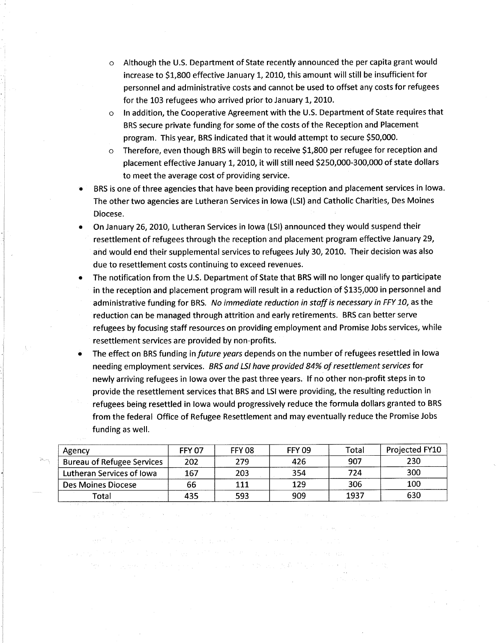- Although the U.S. Department of State recently announced the per capita grant would  $\circ$ increase to \$1,800 effective January 1, 2010, this amount will still be insufficient for personnel and administrative costs and cannot be used to offset any costs for refugees for the 103 refugees who arrived prior to January 1, 2010.
- In addition, the Cooperative Agreement with the U.S. Department of State requires that  $\circ$ BRS secure private funding for some of the costs of the Reception and Placement program. This year, BRS indicated that it would attempt to secure 550,000.
- Therefore, even though BRS will begin to receive 51,800 per refugee for reception and  $\circ$ placement effective January 1, 2010, it will still need \$250,000-300,000 of state dollars to meet the average cost of providing service.
- BRS is one of three agencies that have been providing reception and placement services in lowa. The other two agencies are Lutheran Services in Iowa (LSI) and Catholic Charities, Des Moines Diocese.
- On January 26, 2010, Lutheran Services in Iowa (LSI) announced they would suspend their resettlement of refugees through the reception and placement program effective January 29, and would end their supplemental services to refugees July 30, 2010. Their decision was also due to resettlement costs continuing to exceed revenues.
- The notification from the U.S. Department of State that BRS will no longer qualify to participate in the reception and placement program will result in a reduction of \$135,000 in personnel and administrative funding for BRS. No immediate reduction in staff is necessary in FFY 10, as the reduction can be managed through attrition and early retirements. BRS can better serve refugees by focusing staff resources on providing employment and Promise Jobs services, whíle resettlement services are provided by non-profits.
- The effect on BRS funding in future years depends on the number of refugees resettled in lowa needing employment services. BRS and LSI have provided 84% of resettlement services for newly arriving refugees in lowa over the past three years. lf no other non-profit steps in to provide the resettlement services that BRS and LSI were providing, the resulting reduction in refugees being resettled in lowa would progressively reduce the formula dollars granted to BRS from the federal Office of Refugee Resettlement and may eventually reduce the Promise Jobs funding as well.

| Agency                            | <b>FFY 07</b> | <b>FFY 08</b> | <b>FFY 09</b> | Total | Projected FY10 |
|-----------------------------------|---------------|---------------|---------------|-------|----------------|
| <b>Bureau of Refugee Services</b> | 202           | 279           | 426           | 907   | 230            |
| Lutheran Services of Iowa         | 167           | 203           | 354           | 724   | 300            |
| Des Moines Diocese                | 66            | 111           | 129           | 306   | 100            |
| Total                             | 435           | 593           | 909           | 1937  | 630            |

and a complete complete such a world control of the complete

被打开 医神经的 经银行行为 医心脏 医卡林氏试验检尿道 经不同权利

as and the result of a face of the coefficient state of a state of the

2. "我想不是, 我们不知道, 你们

 $\sim 50$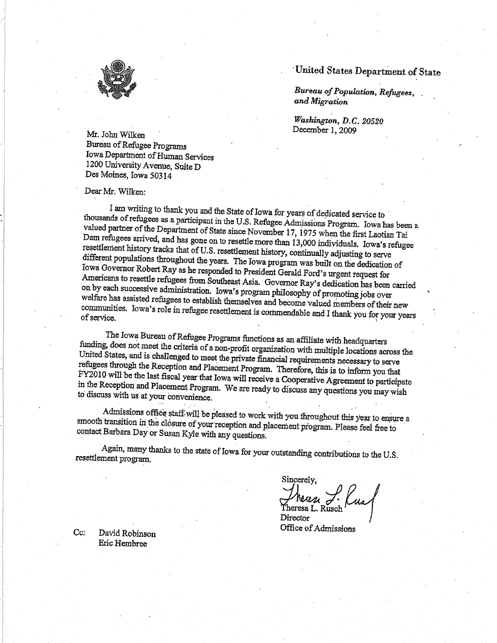

## United States Department of State

Bureau of Population, Refugees, and Migration

Washington, D.C. 20520 December 1, 2009

Mr. John Wilken Bureau of Refugee Programs Iowa Department of Human Services 1200 University Avenue, Suite D Des Moines, Iowa 50314

Dear Mr. Wilken:

I am writing to thank you and the State of Iowa for years of dedicated service to thousands of refugees as a participant in the U.S. Refugee Admissions Program. Iowa has been a valued partner of the Department of State since November 17, 1975 when the first Laotian Tai Dam refugees arrived, and has gone on to resettle more than 13,000 individuals. Iowa's refugee resettlement history tracks that of U.S. resettlement history, continually adjusting to serve different populations throughout the years. The Iowa program was built on the dedication of Iowa Governor Robert Ray as he responded to President Gerald Ford's urgent request for Americans to resettle refugees from Southeast Asia. Governor Ray's dedication has been carried on by each successive administration. Iowa's program philosophy of promoting jobs over welfare has assisted refugees to establish themselves and become valued members of their new communities. Iowa's role in refugee resettlement is commendable and I thank you for your years

The Iowa Bureau of Refugee Programs functions as an affiliate with headquarters funding, does not meet the criteria of a non-profit organization with multiple locations across the United States, and is challenged to meet the private financial requirements necessary to serve refugees through the Reception and Placement Program. Therefore, this is to inform you that FY2010 will be the last fiscal year that Iowa will receive a Cooperative Agreement to participate in the Reception and Placement Program. We are ready to discuss any questions you may wish to discuss with us at your convenience.

Admissions office staff will be pleased to work with you throughout this year to ensure a smooth transition in the closure of your reception and placement program. Please feel free to contact Barbara Day or Susan Kyle with any questions.

Again, many thanks to the state of Iowa for your outstanding contributions to the U.S. resettlement program.

Sincerely,

Theren J. Kus Director

Office of Admissions

Cc: David Robinson Eric Hembree